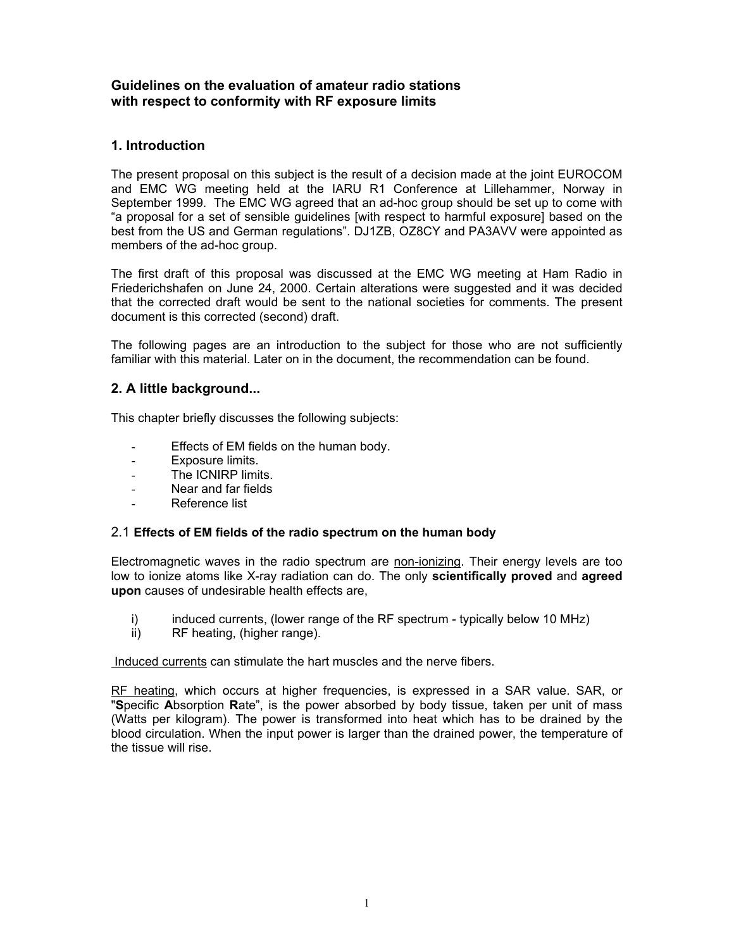## **Guidelines on the evaluation of amateur radio stations with respect to conformity with RF exposure limits**

## **1. Introduction**

The present proposal on this subject is the result of a decision made at the joint EUROCOM and EMC WG meeting held at the IARU R1 Conference at Lillehammer, Norway in September 1999. The EMC WG agreed that an ad-hoc group should be set up to come with "a proposal for a set of sensible guidelines [with respect to harmful exposure] based on the best from the US and German regulations". DJ1ZB, OZ8CY and PA3AVV were appointed as members of the ad-hoc group.

The first draft of this proposal was discussed at the EMC WG meeting at Ham Radio in Friederichshafen on June 24, 2000. Certain alterations were suggested and it was decided that the corrected draft would be sent to the national societies for comments. The present document is this corrected (second) draft.

The following pages are an introduction to the subject for those who are not sufficiently familiar with this material. Later on in the document, the recommendation can be found.

## **2. A little background...**

This chapter briefly discusses the following subjects:

- Effects of EM fields on the human body.
- Exposure limits.
- The ICNIRP limits.
- Near and far fields
- Reference list

### 2.1 **Effects of EM fields of the radio spectrum on the human body**

Electromagnetic waves in the radio spectrum are non-ionizing. Their energy levels are too low to ionize atoms like X-ray radiation can do. The only **scientifically proved** and **agreed upon** causes of undesirable health effects are,

- i) induced currents, (lower range of the RF spectrum typically below 10 MHz)<br>ii) RF heating, (higher range).
- RF heating, (higher range).

Induced currents can stimulate the hart muscles and the nerve fibers.

RF heating, which occurs at higher frequencies, is expressed in a SAR value. SAR, or "**S**pecific **A**bsorption **R**ate", is the power absorbed by body tissue, taken per unit of mass (Watts per kilogram). The power is transformed into heat which has to be drained by the blood circulation. When the input power is larger than the drained power, the temperature of the tissue will rise.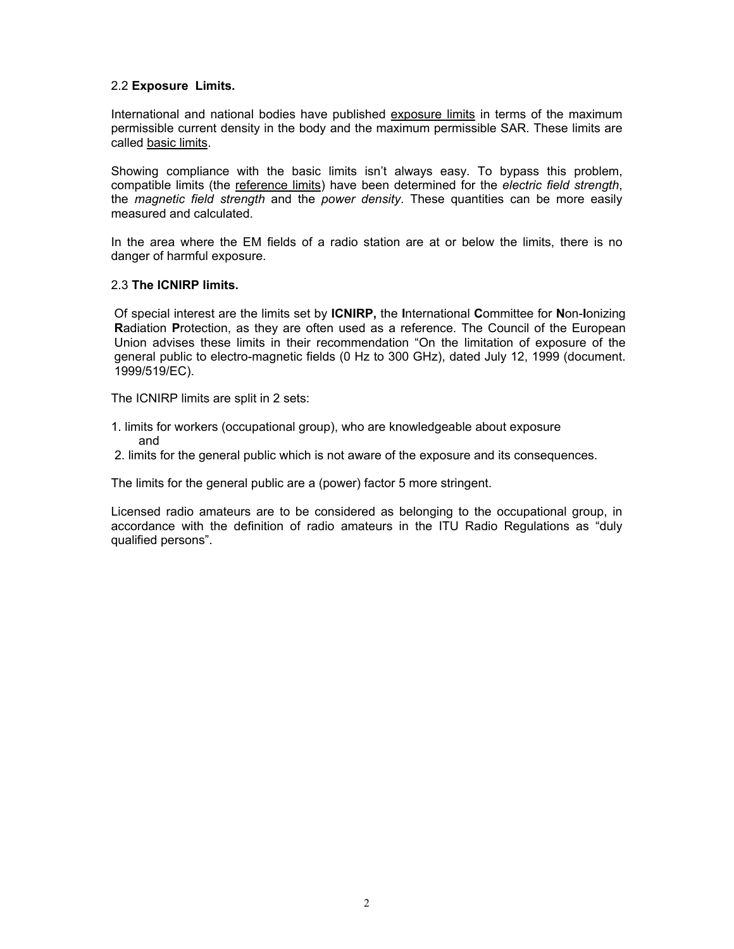### 2.2 **Exposure Limits.**

International and national bodies have published exposure limits in terms of the maximum permissible current density in the body and the maximum permissible SAR. These limits are called basic limits.

Showing compliance with the basic limits isn't always easy. To bypass this problem, compatible limits (the reference limits) have been determined for the *electric field strength*, the *magnetic field strength* and the *power density*. These quantities can be more easily measured and calculated.

In the area where the EM fields of a radio station are at or below the limits, there is no danger of harmful exposure.

#### 2.3 **The ICNIRP limits.**

Of special interest are the limits set by **ICNIRP,** the **I**nternational **C**ommittee for **N**on-**I**onizing **R**adiation **P**rotection, as they are often used as a reference. The Council of the European Union advises these limits in their recommendation "On the limitation of exposure of the general public to electro-magnetic fields (0 Hz to 300 GHz), dated July 12, 1999 (document. 1999/519/EC).

The ICNIRP limits are split in 2 sets:

- 1. limits for workers (occupational group), who are knowledgeable about exposure and
- 2. limits for the general public which is not aware of the exposure and its consequences.

The limits for the general public are a (power) factor 5 more stringent.

Licensed radio amateurs are to be considered as belonging to the occupational group, in accordance with the definition of radio amateurs in the ITU Radio Regulations as "duly qualified persons".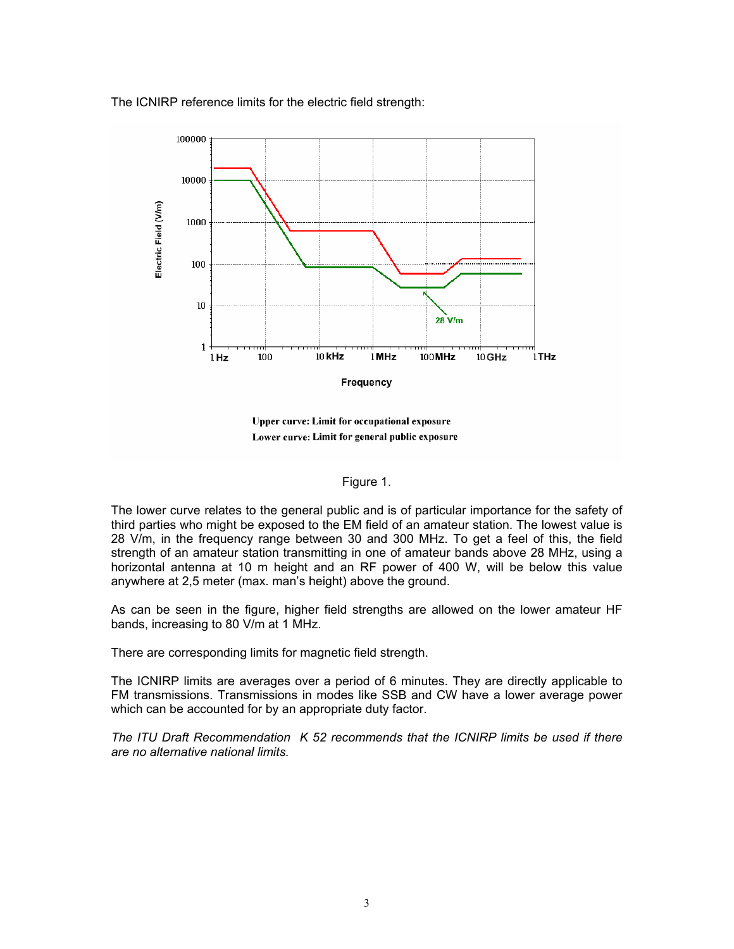The ICNIRP reference limits for the electric field strength:



Upper curve: Limit for occupational exposure Lower curve: Limit for general public exposure

#### Figure 1.

The lower curve relates to the general public and is of particular importance for the safety of third parties who might be exposed to the EM field of an amateur station. The lowest value is 28 V/m, in the frequency range between 30 and 300 MHz. To get a feel of this, the field strength of an amateur station transmitting in one of amateur bands above 28 MHz, using a horizontal antenna at 10 m height and an RF power of 400 W, will be below this value anywhere at 2,5 meter (max. man's height) above the ground.

As can be seen in the figure, higher field strengths are allowed on the lower amateur HF bands, increasing to 80 V/m at 1 MHz.

There are corresponding limits for magnetic field strength.

The ICNIRP limits are averages over a period of 6 minutes. They are directly applicable to FM transmissions. Transmissions in modes like SSB and CW have a lower average power which can be accounted for by an appropriate duty factor.

*The ITU Draft Recommendation K 52 recommends that the ICNIRP limits be used if there are no alternative national limits.*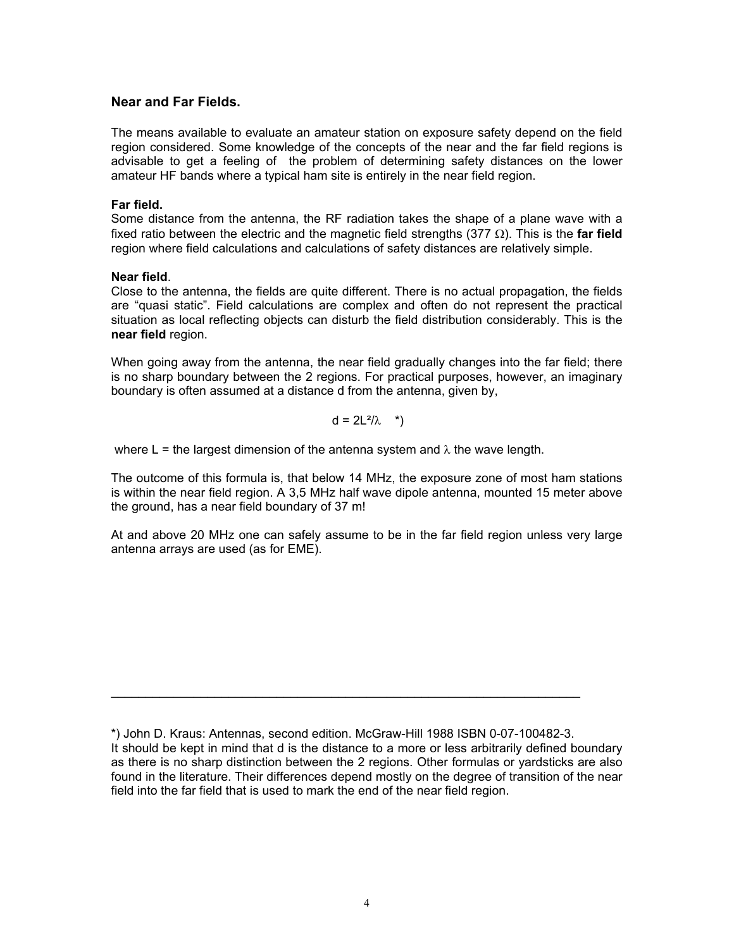### **Near and Far Fields.**

The means available to evaluate an amateur station on exposure safety depend on the field region considered. Some knowledge of the concepts of the near and the far field regions is advisable to get a feeling of the problem of determining safety distances on the lower amateur HF bands where a typical ham site is entirely in the near field region.

#### **Far field.**

Some distance from the antenna, the RF radiation takes the shape of a plane wave with a fixed ratio between the electric and the magnetic field strengths (377 Ω). This is the **far field** region where field calculations and calculations of safety distances are relatively simple.

#### **Near field**.

Close to the antenna, the fields are quite different. There is no actual propagation, the fields are "quasi static". Field calculations are complex and often do not represent the practical situation as local reflecting objects can disturb the field distribution considerably. This is the **near field** region.

When going away from the antenna, the near field gradually changes into the far field; there is no sharp boundary between the 2 regions. For practical purposes, however, an imaginary boundary is often assumed at a distance d from the antenna, given by,

$$
d = 2L^2/\lambda \quad *)
$$

where L = the largest dimension of the antenna system and  $\lambda$  the wave length.

The outcome of this formula is, that below 14 MHz, the exposure zone of most ham stations is within the near field region. A 3,5 MHz half wave dipole antenna, mounted 15 meter above the ground, has a near field boundary of 37 m!

At and above 20 MHz one can safely assume to be in the far field region unless very large antenna arrays are used (as for EME).

 $\mathcal{L}_\text{max}$  , and the contribution of the contribution of the contribution of the contribution of the contribution of the contribution of the contribution of the contribution of the contribution of the contribution of t

<sup>\*)</sup> John D. Kraus: Antennas, second edition. McGraw-Hill 1988 ISBN 0-07-100482-3. It should be kept in mind that d is the distance to a more or less arbitrarily defined boundary as there is no sharp distinction between the 2 regions. Other formulas or yardsticks are also found in the literature. Their differences depend mostly on the degree of transition of the near field into the far field that is used to mark the end of the near field region.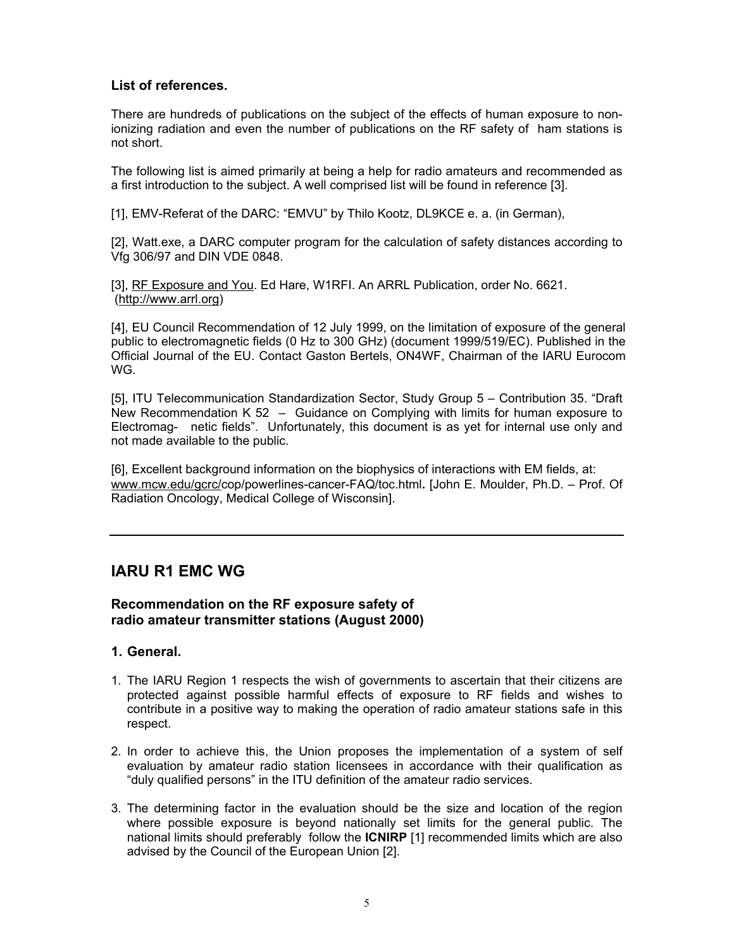## **List of references.**

There are hundreds of publications on the subject of the effects of human exposure to nonionizing radiation and even the number of publications on the RF safety of ham stations is not short.

The following list is aimed primarily at being a help for radio amateurs and recommended as a first introduction to the subject. A well comprised list will be found in reference [3].

[1], EMV-Referat of the DARC: "EMVU" by Thilo Kootz, DL9KCE e. a. (in German),

[2], Watt.exe, a DARC computer program for the calculation of safety distances according to Vfg 306/97 and DIN VDE 0848.

[3], RF Exposure and You. Ed Hare, W1RFI. An ARRL Publication, order No. 6621. (http://www.arrl.org)

[4], EU Council Recommendation of 12 July 1999, on the limitation of exposure of the general public to electromagnetic fields (0 Hz to 300 GHz) (document 1999/519/EC). Published in the Official Journal of the EU. Contact Gaston Bertels, ON4WF, Chairman of the IARU Eurocom WG.

[5], ITU Telecommunication Standardization Sector, Study Group 5 – Contribution 35. "Draft New Recommendation K 52 – Guidance on Complying with limits for human exposure to Electromag- netic fields". Unfortunately, this document is as yet for internal use only and not made available to the public.

[6], Excellent background information on the biophysics of interactions with EM fields, at: www.mcw.edu/gcrc/cop/powerlines-cancer-FAQ/toc.html**.** [John E. Moulder, Ph.D. – Prof. Of Radiation Oncology, Medical College of Wisconsin].

# **IARU R1 EMC WG**

## **Recommendation on the RF exposure safety of radio amateur transmitter stations (August 2000)**

## **1. General.**

- 1. The IARU Region 1 respects the wish of governments to ascertain that their citizens are protected against possible harmful effects of exposure to RF fields and wishes to contribute in a positive way to making the operation of radio amateur stations safe in this respect.
- 2. In order to achieve this, the Union proposes the implementation of a system of self evaluation by amateur radio station licensees in accordance with their qualification as "duly qualified persons" in the ITU definition of the amateur radio services.
- 3. The determining factor in the evaluation should be the size and location of the region where possible exposure is beyond nationally set limits for the general public. The national limits should preferably follow the **ICNIRP** [1] recommended limits which are also advised by the Council of the European Union [2].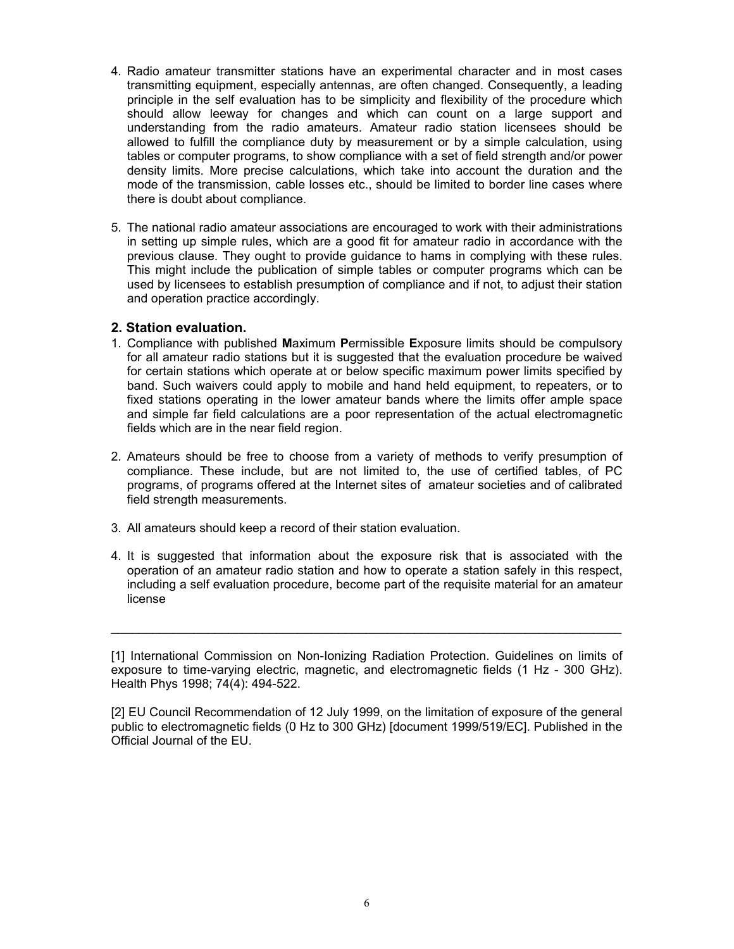- 4. Radio amateur transmitter stations have an experimental character and in most cases transmitting equipment, especially antennas, are often changed. Consequently, a leading principle in the self evaluation has to be simplicity and flexibility of the procedure which should allow leeway for changes and which can count on a large support and understanding from the radio amateurs. Amateur radio station licensees should be allowed to fulfill the compliance duty by measurement or by a simple calculation, using tables or computer programs, to show compliance with a set of field strength and/or power density limits. More precise calculations, which take into account the duration and the mode of the transmission, cable losses etc., should be limited to border line cases where there is doubt about compliance.
- 5. The national radio amateur associations are encouraged to work with their administrations in setting up simple rules, which are a good fit for amateur radio in accordance with the previous clause. They ought to provide guidance to hams in complying with these rules. This might include the publication of simple tables or computer programs which can be used by licensees to establish presumption of compliance and if not, to adjust their station and operation practice accordingly.

### **2. Station evaluation.**

- 1. Compliance with published **M**aximum **P**ermissible **E**xposure limits should be compulsory for all amateur radio stations but it is suggested that the evaluation procedure be waived for certain stations which operate at or below specific maximum power limits specified by band. Such waivers could apply to mobile and hand held equipment, to repeaters, or to fixed stations operating in the lower amateur bands where the limits offer ample space and simple far field calculations are a poor representation of the actual electromagnetic fields which are in the near field region.
- 2. Amateurs should be free to choose from a variety of methods to verify presumption of compliance. These include, but are not limited to, the use of certified tables, of PC programs, of programs offered at the Internet sites of amateur societies and of calibrated field strength measurements.
- 3. All amateurs should keep a record of their station evaluation.
- 4. It is suggested that information about the exposure risk that is associated with the operation of an amateur radio station and how to operate a station safely in this respect, including a self evaluation procedure, become part of the requisite material for an amateur license

[1] International Commission on Non-Ionizing Radiation Protection. Guidelines on limits of exposure to time-varying electric, magnetic, and electromagnetic fields (1 Hz - 300 GHz). Health Phys 1998; 74(4): 494-522.

 $\mathcal{L}_\text{G} = \{ \mathcal{L}_\text{G} \mid \mathcal{L}_\text{G} \mid \mathcal{L}_\text{G} \mid \mathcal{L}_\text{G} \mid \mathcal{L}_\text{G} \mid \mathcal{L}_\text{G} \mid \mathcal{L}_\text{G} \mid \mathcal{L}_\text{G} \mid \mathcal{L}_\text{G} \mid \mathcal{L}_\text{G} \mid \mathcal{L}_\text{G} \mid \mathcal{L}_\text{G} \mid \mathcal{L}_\text{G} \mid \mathcal{L}_\text{G} \mid \mathcal{L}_\text{G} \mid \mathcal{L}_\text{G}$ 

[2] EU Council Recommendation of 12 July 1999, on the limitation of exposure of the general public to electromagnetic fields (0 Hz to 300 GHz) [document 1999/519/EC]. Published in the Official Journal of the EU.